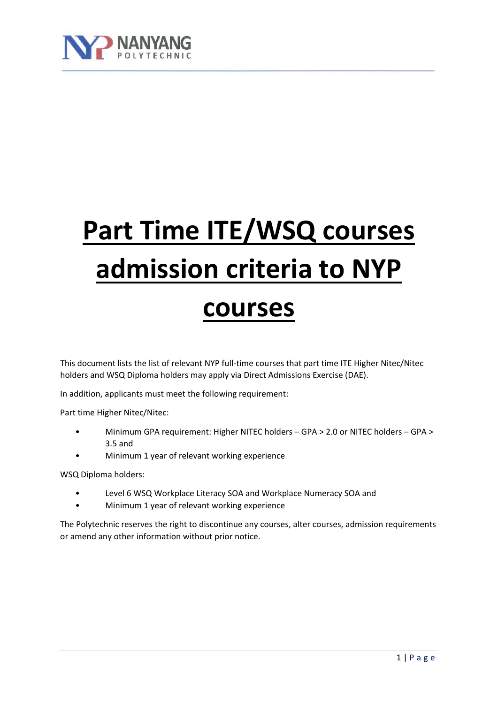

# **Part Time ITE/WSQ courses admission criteria to NYP courses**

This document lists the list of relevant NYP full-time courses that part time ITE Higher Nitec/Nitec holders and WSQ Diploma holders may apply via Direct Admissions Exercise (DAE).

In addition, applicants must meet the following requirement:

Part time Higher Nitec/Nitec:

- Minimum GPA requirement: Higher NITEC holders GPA > 2.0 or NITEC holders GPA > 3.5 and
- Minimum 1 year of relevant working experience

WSQ Diploma holders:

- Level 6 WSQ Workplace Literacy SOA and Workplace Numeracy SOA and
- Minimum 1 year of relevant working experience

The Polytechnic reserves the right to discontinue any courses, alter courses, admission requirements or amend any other information without prior notice.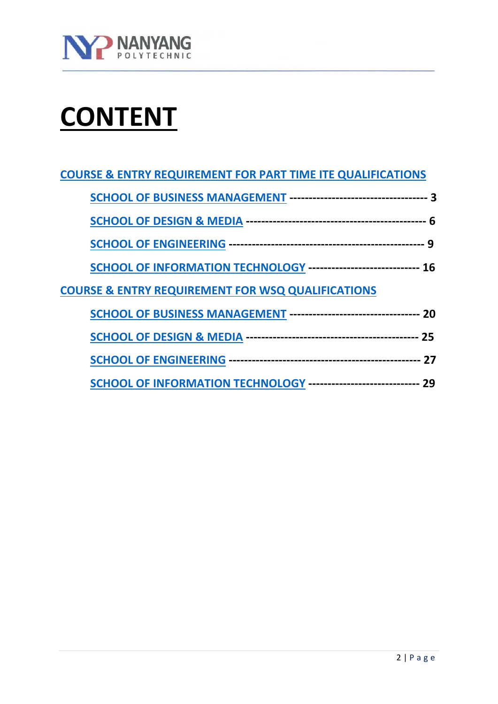

# **CONTENT**

| <b>COURSE &amp; ENTRY REQUIREMENT FOR PART TIME ITE QUALIFICATIONS</b>   |  |
|--------------------------------------------------------------------------|--|
|                                                                          |  |
|                                                                          |  |
|                                                                          |  |
| SCHOOL OF INFORMATION TECHNOLOGY ---------------------------- 16         |  |
| <b>COURSE &amp; ENTRY REQUIREMENT FOR WSQ QUALIFICATIONS</b>             |  |
| <b>SCHOOL OF BUSINESS MANAGEMENT -------------------------------- 20</b> |  |
|                                                                          |  |
|                                                                          |  |
| SCHOOL OF INFORMATION TECHNOLOGY ----------------------------- 29        |  |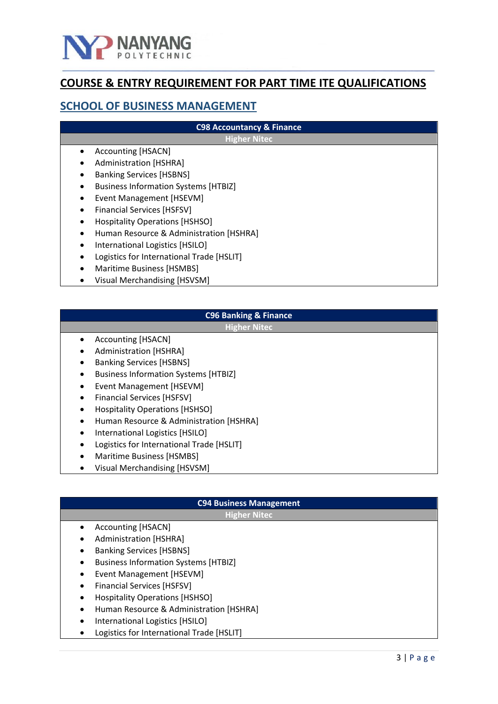

# **COURSE & ENTRY REQUIREMENT FOR PART TIME ITE QUALIFICATIONS**

## <span id="page-2-0"></span>**SCHOOL OF BUSINESS MANAGEMENT**

| <b>C98 Accountancy &amp; Finance</b>        |  |
|---------------------------------------------|--|
| <b>Higher Nitec</b>                         |  |
| Accounting [HSACN]<br>$\bullet$             |  |
| Administration [HSHRA]                      |  |
| <b>Banking Services [HSBNS]</b>             |  |
| <b>Business Information Systems [HTBIZ]</b> |  |
| Event Management [HSEVM]                    |  |
| Financial Services [HSFSV]                  |  |
| <b>Hospitality Operations [HSHSO]</b>       |  |
| Human Resource & Administration [HSHRA]     |  |
| International Logistics [HSILO]             |  |
| Logistics for International Trade [HSLIT]   |  |
| Maritime Business [HSMBS]                   |  |
| <b>Visual Merchandising [HSVSM]</b>         |  |

# **C96 Banking & Finance**

**Higher Nitec**

- Accounting [HSACN]
- Administration [HSHRA]
- Banking Services [HSBNS]
- Business Information Systems [HTBIZ]
- Event Management [HSEVM]
- Financial Services [HSFSV]
- Hospitality Operations [HSHSO]
- Human Resource & Administration [HSHRA]
- International Logistics [HSILO]
- Logistics for International Trade [HSLIT]
- Maritime Business [HSMBS]
- Visual Merchandising [HSVSM]

# **C94 Business Management**

- Accounting [HSACN]
- Administration [HSHRA]
- Banking Services [HSBNS]
- Business Information Systems [HTBIZ]
- Event Management [HSEVM]
- Financial Services [HSFSV]
- Hospitality Operations [HSHSO]
- Human Resource & Administration [HSHRA]
- International Logistics [HSILO]
- Logistics for International Trade [HSLIT]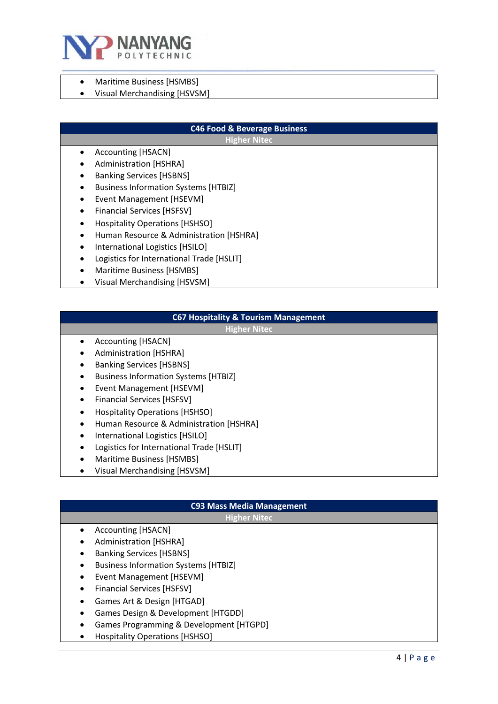

- Maritime Business [HSMBS]
- Visual Merchandising [HSVSM]

#### **C46 Food & Beverage Business**

**Higher Nitec**

- Accounting [HSACN]
- Administration [HSHRA]
- Banking Services [HSBNS]
- Business Information Systems [HTBIZ]
- Event Management [HSEVM]
- Financial Services [HSFSV]
- Hospitality Operations [HSHSO]
- Human Resource & Administration [HSHRA]
- International Logistics [HSILO]
- Logistics for International Trade [HSLIT]
- Maritime Business [HSMBS]
- Visual Merchandising [HSVSM]

#### **C67 Hospitality & Tourism Management**

**Higher Nitec**

- Accounting [HSACN]
- Administration [HSHRA]
- Banking Services [HSBNS]
- Business Information Systems [HTBIZ]
- Event Management [HSEVM]
- Financial Services [HSFSV]
- Hospitality Operations [HSHSO]
- Human Resource & Administration [HSHRA]
- International Logistics [HSILO]
- Logistics for International Trade [HSLIT]
- Maritime Business [HSMBS]
- Visual Merchandising [HSVSM]

# **C93 Mass Media Management**

- Accounting [HSACN]
- Administration [HSHRA]
- Banking Services [HSBNS]
- Business Information Systems [HTBIZ]
- Event Management [HSEVM]
- Financial Services [HSFSV]
- Games Art & Design [HTGAD]
- Games Design & Development [HTGDD]
- Games Programming & Development [HTGPD]
- Hospitality Operations [HSHSO]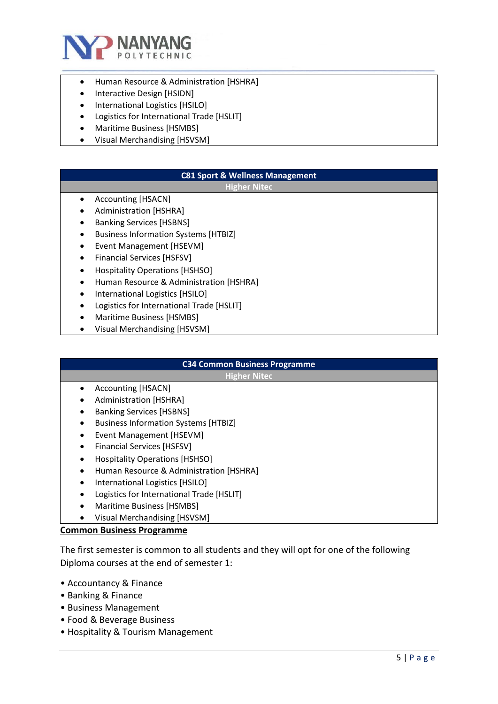

- Human Resource & Administration [HSHRA]
- Interactive Design [HSIDN]
- International Logistics [HSILO]
- Logistics for International Trade [HSLIT]
- Maritime Business [HSMBS]
- Visual Merchandising [HSVSM]

#### **C81 Sport & Wellness Management**

#### **Higher Nitec**

- Accounting [HSACN]
- Administration [HSHRA]
- Banking Services [HSBNS]
- Business Information Systems [HTBIZ]
- Event Management [HSEVM]
- Financial Services [HSFSV]
- Hospitality Operations [HSHSO]
- Human Resource & Administration [HSHRA]
- International Logistics [HSILO]
- Logistics for International Trade [HSLIT]
- Maritime Business [HSMBS]
- Visual Merchandising [HSVSM]

# **C34 Common Business Programme**

**Higher Nitec**

- Accounting [HSACN]
- Administration [HSHRA]
- Banking Services [HSBNS]
- Business Information Systems [HTBIZ]
- Event Management [HSEVM]
- Financial Services [HSFSV]
- Hospitality Operations [HSHSO]
- Human Resource & Administration [HSHRA]
- International Logistics [HSILO]
- Logistics for International Trade [HSLIT]
- Maritime Business [HSMBS]
- Visual Merchandising [HSVSM]

#### **Common Business Programme**

The first semester is common to all students and they will opt for one of the following Diploma courses at the end of semester 1:

- Accountancy & Finance
- Banking & Finance
- Business Management
- Food & Beverage Business
- Hospitality & Tourism Management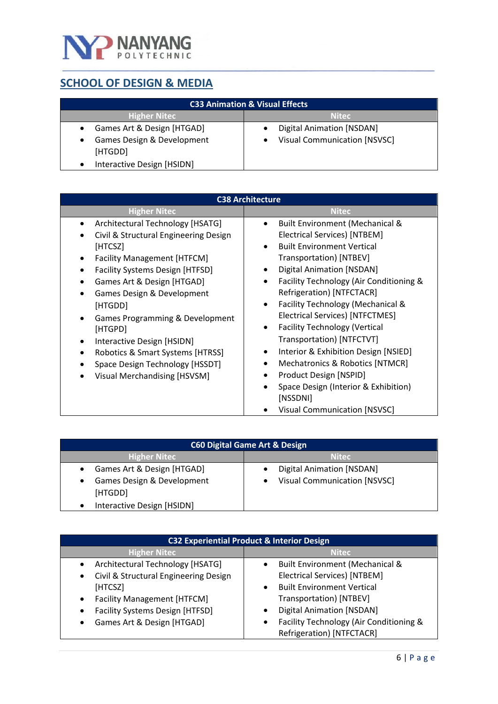

# <span id="page-5-0"></span>**SCHOOL OF DESIGN & MEDIA**

| <b>C33 Animation &amp; Visual Effects</b>                                        |                                                                  |
|----------------------------------------------------------------------------------|------------------------------------------------------------------|
| <b>Higher Nitec</b>                                                              | <b>Nitec</b>                                                     |
| Games Art & Design [HTGAD]<br>$\bullet$<br>Games Design & Development<br>[HTGDD] | <b>Digital Animation [NSDAN]</b><br>Visual Communication [NSVSC] |
| Interactive Design [HSIDN]                                                       |                                                                  |

| <b>C38 Architecture</b>                                                                                                                                                                                                                                                                                                                                                                                                             |                                                                                                                                                                                                                                                                                                                                                                                                                                                                                                                                                                                                                                                                               |
|-------------------------------------------------------------------------------------------------------------------------------------------------------------------------------------------------------------------------------------------------------------------------------------------------------------------------------------------------------------------------------------------------------------------------------------|-------------------------------------------------------------------------------------------------------------------------------------------------------------------------------------------------------------------------------------------------------------------------------------------------------------------------------------------------------------------------------------------------------------------------------------------------------------------------------------------------------------------------------------------------------------------------------------------------------------------------------------------------------------------------------|
| <b>Higher Nitec</b>                                                                                                                                                                                                                                                                                                                                                                                                                 | Nitec                                                                                                                                                                                                                                                                                                                                                                                                                                                                                                                                                                                                                                                                         |
| Architectural Technology [HSATG]<br>Civil & Structural Engineering Design<br>[HTCSZ]<br><b>Facility Management [HTFCM]</b><br><b>Facility Systems Design [HTFSD]</b><br>Games Art & Design [HTGAD]<br>Games Design & Development<br>[HTGDD]<br>Games Programming & Development<br>[HTGPD]<br>Interactive Design [HSIDN]<br>٠<br>Robotics & Smart Systems [HTRSS]<br>Space Design Technology [HSSDT]<br>Visual Merchandising [HSVSM] | Built Environment (Mechanical &<br>Electrical Services) [NTBEM]<br><b>Built Environment Vertical</b><br>$\bullet$<br>Transportation) [NTBEV]<br><b>Digital Animation [NSDAN]</b><br>$\bullet$<br>Facility Technology (Air Conditioning &<br>$\bullet$<br>Refrigeration) [NTFCTACR]<br>Facility Technology (Mechanical &<br>$\bullet$<br><b>Electrical Services) [NTFCTMES]</b><br><b>Facility Technology (Vertical</b><br>$\bullet$<br>Transportation) [NTFCTVT]<br>Interior & Exhibition Design [NSIED]<br>$\bullet$<br>Mechatronics & Robotics [NTMCR]<br>Product Design [NSPID]<br>Space Design (Interior & Exhibition)<br>[NSSDNI]<br><b>Visual Communication [NSVSC]</b> |

| <b>C60 Digital Game Art &amp; Design</b>                                                          |                                                                         |
|---------------------------------------------------------------------------------------------------|-------------------------------------------------------------------------|
| <b>Higher Nitec</b>                                                                               | <b>Nitec</b>                                                            |
| Games Art & Design [HTGAD]<br>Games Design & Development<br>[HTGDD]<br>Interactive Design [HSIDN] | <b>Digital Animation [NSDAN]</b><br><b>Visual Communication [NSVSC]</b> |

| <b>C32 Experiential Product &amp; Interior Design</b>                                              |                                                                                                               |
|----------------------------------------------------------------------------------------------------|---------------------------------------------------------------------------------------------------------------|
| <b>Higher Nitec</b>                                                                                | <b>Nitec</b>                                                                                                  |
| Architectural Technology [HSATG]<br>Civil & Structural Engineering Design<br>٠                     | Built Environment (Mechanical &<br><b>Electrical Services) [NTBEM]</b>                                        |
| [HTCSZ]<br><b>Facility Management [HTFCM]</b><br>$\bullet$<br>Facility Systems Design [HTFSD]<br>٠ | <b>Built Environment Vertical</b><br>$\bullet$<br>Transportation) [NTBEV]<br><b>Digital Animation [NSDAN]</b> |
| Games Art & Design [HTGAD]                                                                         | Facility Technology (Air Conditioning &<br>Refrigeration) [NTFCTACR]                                          |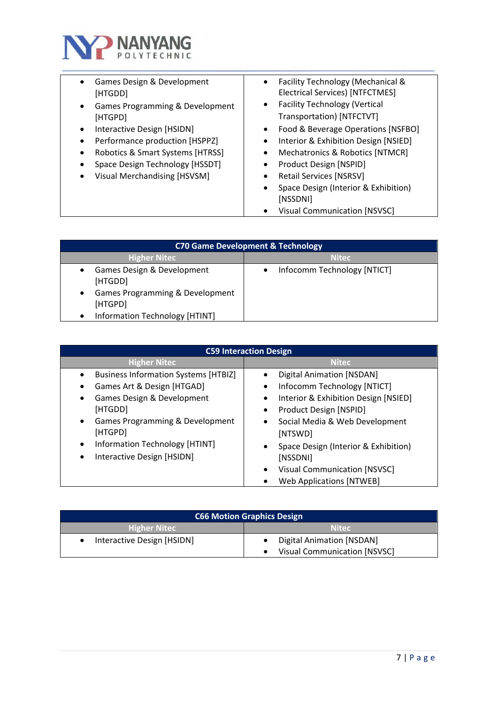

| Games Design & Development<br>[HTGDD]                                                                                                                               | Facility Technology (Mechanical &<br>$\bullet$<br><b>Electrical Services) [NTFCTMES]</b>                                                                                                                                                                                                            |
|---------------------------------------------------------------------------------------------------------------------------------------------------------------------|-----------------------------------------------------------------------------------------------------------------------------------------------------------------------------------------------------------------------------------------------------------------------------------------------------|
| Games Programming & Development<br>$\bullet$<br>[HTGPD]                                                                                                             | <b>Facility Technology (Vertical</b><br>$\bullet$<br>Transportation) [NTFCTVT]                                                                                                                                                                                                                      |
| Interactive Design [HSIDN]<br>Performance production [HSPPZ]<br>Robotics & Smart Systems [HTRSS]<br>Space Design Technology [HSSDT]<br>Visual Merchandising [HSVSM] | Food & Beverage Operations [NSFBO]<br>$\bullet$<br>Interior & Exhibition Design [NSIED]<br>$\bullet$<br>Mechatronics & Robotics [NTMCR]<br>$\bullet$<br>Product Design [NSPID]<br>$\bullet$<br><b>Retail Services [NSRSV]</b><br>$\bullet$<br>Space Design (Interior & Exhibition)<br>٠<br>[NSSDNI] |
|                                                                                                                                                                     | <b>Visual Communication [NSVSC]</b>                                                                                                                                                                                                                                                                 |

| <b>C70 Game Development &amp; Technology</b>                             |                             |
|--------------------------------------------------------------------------|-----------------------------|
| <b>Higher Nitec</b>                                                      | <b>Nitec</b>                |
| Games Design & Development<br>[HTGDD]<br>Games Programming & Development | Infocomm Technology [NTICT] |
| [HTGPD]<br>Information Technology [HTINT]                                |                             |

| <b>C59 Interaction Design</b>                                                                                                                                                                                                                      |                                                                                                                                                                                                                                                                                                                                  |
|----------------------------------------------------------------------------------------------------------------------------------------------------------------------------------------------------------------------------------------------------|----------------------------------------------------------------------------------------------------------------------------------------------------------------------------------------------------------------------------------------------------------------------------------------------------------------------------------|
| <b>Higher Nitec</b>                                                                                                                                                                                                                                | <b>Nitec</b>                                                                                                                                                                                                                                                                                                                     |
| <b>Business Information Systems [HTBIZ]</b><br>Games Art & Design [HTGAD]<br>Games Design & Development<br>[HTGDD]<br>Games Programming & Development<br>[HTGPD]<br>Information Technology [HTINT]<br>$\bullet$<br>Interactive Design [HSIDN]<br>٠ | <b>Digital Animation [NSDAN]</b><br>Infocomm Technology [NTICT]<br>٠<br>Interior & Exhibition Design [NSIED]<br>٠<br>Product Design [NSPID]<br>$\bullet$<br>Social Media & Web Development<br>$\bullet$<br>[NTSWD]<br>Space Design (Interior & Exhibition)<br>$\bullet$<br>[NSSDNI]<br>Visual Communication [NSVSC]<br>$\bullet$ |
|                                                                                                                                                                                                                                                    | <b>Web Applications [NTWEB]</b>                                                                                                                                                                                                                                                                                                  |

| <b>C66 Motion Graphics Design</b> |                                                           |
|-----------------------------------|-----------------------------------------------------------|
| <b>Higher Nitec</b>               | <b>Nitec</b>                                              |
| Interactive Design [HSIDN]        | Digital Animation [NSDAN]<br>Visual Communication [NSVSC] |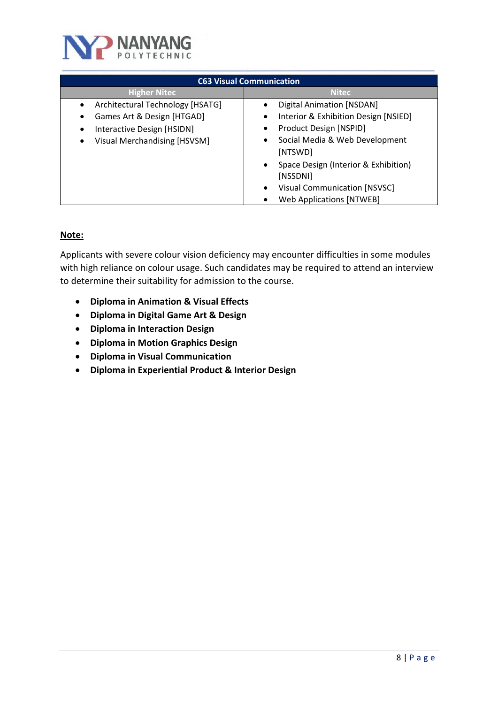

| <b>C63 Visual Communication</b>                                                                                              |                                                                                                                                                                                                                                                                                                                                |
|------------------------------------------------------------------------------------------------------------------------------|--------------------------------------------------------------------------------------------------------------------------------------------------------------------------------------------------------------------------------------------------------------------------------------------------------------------------------|
| <b>Higher Nitec</b>                                                                                                          | <b>Nitec</b>                                                                                                                                                                                                                                                                                                                   |
| Architectural Technology [HSATG]<br>Games Art & Design [HTGAD]<br>Interactive Design [HSIDN]<br>Visual Merchandising [HSVSM] | <b>Digital Animation [NSDAN]</b><br>$\bullet$<br>Interior & Exhibition Design [NSIED]<br>٠<br>Product Design [NSPID]<br>Social Media & Web Development<br>٠<br>[NTSWD]<br>Space Design (Interior & Exhibition)<br>$\bullet$<br>[NSSDNI]<br><b>Visual Communication [NSVSC]</b><br>$\bullet$<br><b>Web Applications [NTWEB]</b> |

### **Note:**

Applicants with severe colour vision deficiency may encounter difficulties in some modules with high reliance on colour usage. Such candidates may be required to attend an interview to determine their suitability for admission to the course.

- **Diploma in Animation & Visual Effects**
- **Diploma in Digital Game Art & Design**
- **Diploma in Interaction Design**
- **Diploma in Motion Graphics Design**
- **Diploma in Visual Communication**
- **Diploma in Experiential Product & Interior Design**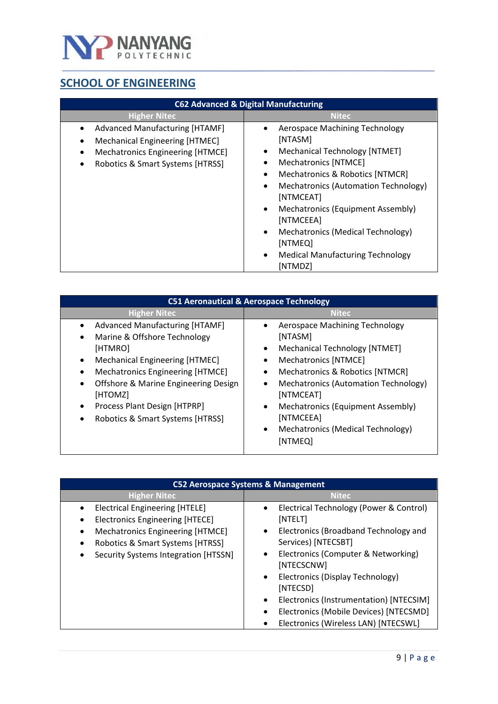

# <span id="page-8-0"></span>**SCHOOL OF ENGINEERING**

| <b>C62 Advanced &amp; Digital Manufacturing</b>                                                                                                              |                                                                                                                                                                                                                                                                                                                                                                                                                                                                             |
|--------------------------------------------------------------------------------------------------------------------------------------------------------------|-----------------------------------------------------------------------------------------------------------------------------------------------------------------------------------------------------------------------------------------------------------------------------------------------------------------------------------------------------------------------------------------------------------------------------------------------------------------------------|
| <b>Higher Nitec</b>                                                                                                                                          | <b>Nitec</b>                                                                                                                                                                                                                                                                                                                                                                                                                                                                |
| <b>Advanced Manufacturing [HTAMF]</b><br>$\bullet$<br>Mechanical Engineering [HTMEC]<br>Mechatronics Engineering [HTMCE]<br>Robotics & Smart Systems [HTRSS] | Aerospace Machining Technology<br>$\bullet$<br>[NTASM]<br><b>Mechanical Technology [NTMET]</b><br>$\bullet$<br><b>Mechatronics [NTMCE]</b><br>٠<br><b>Mechatronics &amp; Robotics [NTMCR]</b><br>$\bullet$<br>Mechatronics (Automation Technology)<br>$\bullet$<br>[NTMCEAT]<br>Mechatronics (Equipment Assembly)<br>$\bullet$<br>[NTMCEEA]<br>Mechatronics (Medical Technology)<br>$\bullet$<br>[NTMEQ]<br><b>Medical Manufacturing Technology</b><br>$\bullet$<br>[NTMDZ] |

| <b>C51 Aeronautical &amp; Aerospace Technology</b>                                                                                                                                                                                                                                                      |                                                                                                                                                                                                                                                                                                                                                                     |
|---------------------------------------------------------------------------------------------------------------------------------------------------------------------------------------------------------------------------------------------------------------------------------------------------------|---------------------------------------------------------------------------------------------------------------------------------------------------------------------------------------------------------------------------------------------------------------------------------------------------------------------------------------------------------------------|
| <b>Higher Nitec</b>                                                                                                                                                                                                                                                                                     | Nitec                                                                                                                                                                                                                                                                                                                                                               |
| <b>Advanced Manufacturing [HTAMF]</b><br>Marine & Offshore Technology<br>[HTMRO]<br>Mechanical Engineering [HTMEC]<br>Mechatronics Engineering [HTMCE]<br>Offshore & Marine Engineering Design<br>$\bullet$<br>[HTOMZ]<br>Process Plant Design [HTPRP]<br>Robotics & Smart Systems [HTRSS]<br>$\bullet$ | Aerospace Machining Technology<br>$\bullet$<br>[NTASM]<br><b>Mechanical Technology [NTMET]</b><br>$\bullet$<br><b>Mechatronics [NTMCE]</b><br>Mechatronics & Robotics [NTMCR]<br>Mechatronics (Automation Technology)<br>$\bullet$<br>[NTMCEAT]<br>Mechatronics (Equipment Assembly)<br>٠<br>[NTMCEEA]<br>Mechatronics (Medical Technology)<br>$\bullet$<br>[NTMEQ] |

| C52 Aerospace Systems & Management                                                                                                                                                                                        |                                                                                                                                                                                                                                                                                                                                                                                                                                                 |
|---------------------------------------------------------------------------------------------------------------------------------------------------------------------------------------------------------------------------|-------------------------------------------------------------------------------------------------------------------------------------------------------------------------------------------------------------------------------------------------------------------------------------------------------------------------------------------------------------------------------------------------------------------------------------------------|
| <b>Higher Nitec</b>                                                                                                                                                                                                       | <b>Nitec</b>                                                                                                                                                                                                                                                                                                                                                                                                                                    |
| <b>Electrical Engineering [HTELE]</b><br>$\bullet$<br><b>Electronics Engineering [HTECE]</b><br>Mechatronics Engineering [HTMCE]<br>$\bullet$<br>Robotics & Smart Systems [HTRSS]<br>Security Systems Integration [HTSSN] | Electrical Technology (Power & Control)<br>$\bullet$<br>[NTELT]<br>Electronics (Broadband Technology and<br>$\bullet$<br>Services) [NTECSBT]<br>Electronics (Computer & Networking)<br>$\bullet$<br>[NTECSCNW]<br>Electronics (Display Technology)<br>$\bullet$<br>[NTECSD]<br>Electronics (Instrumentation) [NTECSIM]<br>$\bullet$<br>Electronics (Mobile Devices) [NTECSMD]<br>$\bullet$<br>Electronics (Wireless LAN) [NTECSWL]<br>$\bullet$ |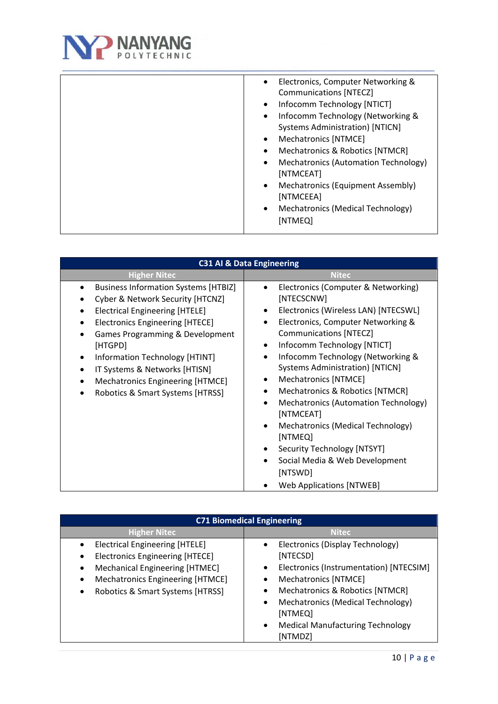

| <b>C31 AI &amp; Data Engineering</b>                                                                                                                                                                                                                                                                                                                        |                                                                                                                                                                                                                                                                                                                                                                                                                                                                                                                                                                                                                        |
|-------------------------------------------------------------------------------------------------------------------------------------------------------------------------------------------------------------------------------------------------------------------------------------------------------------------------------------------------------------|------------------------------------------------------------------------------------------------------------------------------------------------------------------------------------------------------------------------------------------------------------------------------------------------------------------------------------------------------------------------------------------------------------------------------------------------------------------------------------------------------------------------------------------------------------------------------------------------------------------------|
| <b>Higher Nitec</b>                                                                                                                                                                                                                                                                                                                                         | <b>Nitec</b>                                                                                                                                                                                                                                                                                                                                                                                                                                                                                                                                                                                                           |
| <b>Business Information Systems [HTBIZ]</b><br>Cyber & Network Security [HTCNZ]<br><b>Electrical Engineering [HTELE]</b><br><b>Electronics Engineering [HTECE]</b><br>Games Programming & Development<br>[HTGPD]<br>Information Technology [HTINT]<br>IT Systems & Networks [HTISN]<br>Mechatronics Engineering [HTMCE]<br>Robotics & Smart Systems [HTRSS] | Electronics (Computer & Networking)<br>[NTECSCNW]<br>Electronics (Wireless LAN) [NTECSWL]<br>Electronics, Computer Networking &<br><b>Communications [NTECZ]</b><br>Infocomm Technology [NTICT]<br>$\bullet$<br>Infocomm Technology (Networking &<br>$\bullet$<br><b>Systems Administration) [NTICN]</b><br>Mechatronics [NTMCE]<br>Mechatronics & Robotics [NTMCR]<br>Mechatronics (Automation Technology)<br>٠<br>[NTMCEAT]<br>Mechatronics (Medical Technology)<br>$\bullet$<br>[NTMEQ]<br>Security Technology [NTSYT]<br>Social Media & Web Development<br>$\bullet$<br>[NTSWD]<br><b>Web Applications [NTWEB]</b> |

| <b>C71 Biomedical Engineering</b>                                                                                                                                                                                        |                                                                                                                                                                                                                                                                                                              |
|--------------------------------------------------------------------------------------------------------------------------------------------------------------------------------------------------------------------------|--------------------------------------------------------------------------------------------------------------------------------------------------------------------------------------------------------------------------------------------------------------------------------------------------------------|
| <b>Higher Nitec</b>                                                                                                                                                                                                      | <b>Nitec</b>                                                                                                                                                                                                                                                                                                 |
| <b>Electrical Engineering [HTELE]</b><br><b>Electronics Engineering [HTECE]</b><br>$\bullet$<br>Mechanical Engineering [HTMEC]<br>$\bullet$<br>Mechatronics Engineering [HTMCE]<br>Robotics & Smart Systems [HTRSS]<br>٠ | Electronics (Display Technology)<br>$\bullet$<br>[NTECSD]<br>Electronics (Instrumentation) [NTECSIM]<br>$\bullet$<br>Mechatronics [NTMCE]<br>Mechatronics & Robotics [NTMCR]<br>Mechatronics (Medical Technology)<br>$\bullet$<br>[NTMEQ]<br><b>Medical Manufacturing Technology</b><br>$\bullet$<br>[NTMDZ] |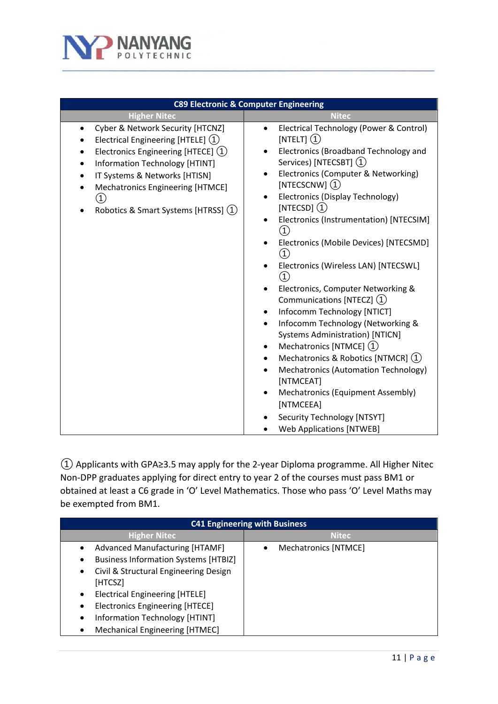

| <b>C89 Electronic &amp; Computer Engineering</b>                                                                                                                                                                                                                                                                                                            |                                                                                                                                                                                                                                                                                                                                                                                                                                                                                                                                                                                                                                                                                                                                                                                                                                                                                                                                         |
|-------------------------------------------------------------------------------------------------------------------------------------------------------------------------------------------------------------------------------------------------------------------------------------------------------------------------------------------------------------|-----------------------------------------------------------------------------------------------------------------------------------------------------------------------------------------------------------------------------------------------------------------------------------------------------------------------------------------------------------------------------------------------------------------------------------------------------------------------------------------------------------------------------------------------------------------------------------------------------------------------------------------------------------------------------------------------------------------------------------------------------------------------------------------------------------------------------------------------------------------------------------------------------------------------------------------|
| <b>Higher Nitec</b>                                                                                                                                                                                                                                                                                                                                         | <b>Nitec</b>                                                                                                                                                                                                                                                                                                                                                                                                                                                                                                                                                                                                                                                                                                                                                                                                                                                                                                                            |
| Cyber & Network Security [HTCNZ]<br>$\bullet$<br>Electrical Engineering [HTELE] (1)<br>Electronics Engineering [HTECE] (1)<br>$\bullet$<br><b>Information Technology [HTINT]</b><br>$\bullet$<br>IT Systems & Networks [HTISN]<br>$\bullet$<br>Mechatronics Engineering [HTMCE]<br>$\bullet$<br>$\left( 1\right)$<br>Robotics & Smart Systems [HTRSS] $(1)$ | Electrical Technology (Power & Control)<br>$\bullet$<br>[NTELT] $(1)$<br>Electronics (Broadband Technology and<br>Services) [NTECSBT] (1)<br>Electronics (Computer & Networking)<br>[NTECSCNW] $(1)$<br>Electronics (Display Technology)<br>[NTECSD] $(1)$<br>Electronics (Instrumentation) [NTECSIM]<br>$\left( 1\right)$<br>Electronics (Mobile Devices) [NTECSMD]<br>$\left( 1\right)$<br>Electronics (Wireless LAN) [NTECSWL]<br>$\left( 1\right)$<br>Electronics, Computer Networking &<br>٠<br>Communications [NTECZ] (1)<br>Infocomm Technology [NTICT]<br>Infocomm Technology (Networking &<br>$\bullet$<br><b>Systems Administration) [NTICN]</b><br>Mechatronics [NTMCE] (1)<br>Mechatronics & Robotics [NTMCR] (1)<br>$\bullet$<br>Mechatronics (Automation Technology)<br>$\bullet$<br>[NTMCEAT]<br><b>Mechatronics (Equipment Assembly)</b><br>[NTMCEEA]<br>Security Technology [NTSYT]<br><b>Web Applications [NTWEB]</b> |

① Applicants with GPA≥3.5 may apply for the 2-year Diploma programme. All Higher Nitec Non-DPP graduates applying for direct entry to year 2 of the courses must pass BM1 or obtained at least a C6 grade in 'O' Level Mathematics. Those who pass 'O' Level Maths may be exempted from BM1.

| <b>C41 Engineering with Business</b>                                                                                                                                                                                                                                                                                        |                      |
|-----------------------------------------------------------------------------------------------------------------------------------------------------------------------------------------------------------------------------------------------------------------------------------------------------------------------------|----------------------|
| <b>Higher Nitec</b>                                                                                                                                                                                                                                                                                                         | <b>Nitec</b>         |
| <b>Advanced Manufacturing [HTAMF]</b><br>$\bullet$<br><b>Business Information Systems [HTBIZ]</b><br>Civil & Structural Engineering Design<br>٠<br>[HTCSZ]<br><b>Electrical Engineering [HTELE]</b><br>٠<br><b>Electronics Engineering [HTECE]</b><br>Information Technology [HTINT]<br>٠<br>Mechanical Engineering [HTMEC] | Mechatronics [NTMCE] |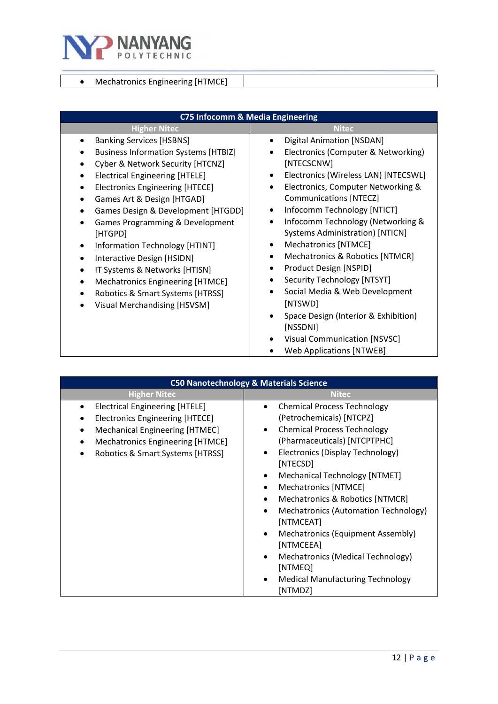

## • Mechatronics Engineering [HTMCE]

| C75 Infocomm & Media Engineering                                                                                                                                                                                                                                                                                                                                                                                                                                                                                                                                |                                                                                                                                                                                                                                                                                                                                                                                                                                                                                                                                                                                                                               |
|-----------------------------------------------------------------------------------------------------------------------------------------------------------------------------------------------------------------------------------------------------------------------------------------------------------------------------------------------------------------------------------------------------------------------------------------------------------------------------------------------------------------------------------------------------------------|-------------------------------------------------------------------------------------------------------------------------------------------------------------------------------------------------------------------------------------------------------------------------------------------------------------------------------------------------------------------------------------------------------------------------------------------------------------------------------------------------------------------------------------------------------------------------------------------------------------------------------|
| <b>Higher Nitec</b>                                                                                                                                                                                                                                                                                                                                                                                                                                                                                                                                             | <b>Nitec</b>                                                                                                                                                                                                                                                                                                                                                                                                                                                                                                                                                                                                                  |
| <b>Banking Services [HSBNS]</b><br><b>Business Information Systems [HTBIZ]</b><br>Cyber & Network Security [HTCNZ]<br><b>Electrical Engineering [HTELE]</b><br><b>Electronics Engineering [HTECE]</b><br>$\bullet$<br>Games Art & Design [HTGAD]<br>Games Design & Development [HTGDD]<br>Games Programming & Development<br>[HTGPD]<br>Information Technology [HTINT]<br>٠<br>Interactive Design [HSIDN]<br>$\bullet$<br>IT Systems & Networks [HTISN]<br>Mechatronics Engineering [HTMCE]<br>Robotics & Smart Systems [HTRSS]<br>Visual Merchandising [HSVSM] | <b>Digital Animation [NSDAN]</b><br>Electronics (Computer & Networking)<br>[NTECSCNW]<br>Electronics (Wireless LAN) [NTECSWL]<br>Electronics, Computer Networking &<br>Communications [NTECZ]<br>Infocomm Technology [NTICT]<br>$\bullet$<br>Infocomm Technology (Networking &<br>$\bullet$<br><b>Systems Administration) [NTICN]</b><br>Mechatronics [NTMCE]<br>Mechatronics & Robotics [NTMCR]<br>Product Design [NSPID]<br>Security Technology [NTSYT]<br>Social Media & Web Development<br>[NTSWD]<br>Space Design (Interior & Exhibition)<br>[NSSDNI]<br>Visual Communication [NSVSC]<br><b>Web Applications [NTWEB]</b> |

| <b>C50 Nanotechnology &amp; Materials Science</b>                                                                                                                                                |                                                                                                                                                                                                                                                                                                                                                                                                                                                                                                                   |
|--------------------------------------------------------------------------------------------------------------------------------------------------------------------------------------------------|-------------------------------------------------------------------------------------------------------------------------------------------------------------------------------------------------------------------------------------------------------------------------------------------------------------------------------------------------------------------------------------------------------------------------------------------------------------------------------------------------------------------|
| <b>Higher Nitec</b>                                                                                                                                                                              | <b>Nitec</b>                                                                                                                                                                                                                                                                                                                                                                                                                                                                                                      |
| <b>Electrical Engineering [HTELE]</b><br><b>Electronics Engineering [HTECE]</b><br>Mechanical Engineering [HTMEC]<br><b>Mechatronics Engineering [HTMCE]</b><br>Robotics & Smart Systems [HTRSS] | <b>Chemical Process Technology</b><br>(Petrochemicals) [NTCPZ]<br><b>Chemical Process Technology</b><br>(Pharmaceuticals) [NTCPTPHC]<br>Electronics (Display Technology)<br>[NTECSD]<br>Mechanical Technology [NTMET]<br><b>Mechatronics [NTMCE]</b><br>Mechatronics & Robotics [NTMCR]<br>Mechatronics (Automation Technology)<br>[NTMCEAT]<br>Mechatronics (Equipment Assembly)<br>[NTMCEEA]<br>Mechatronics (Medical Technology)<br>[NTMEQ]<br><b>Medical Manufacturing Technology</b><br>$\bullet$<br>[NTMDZ] |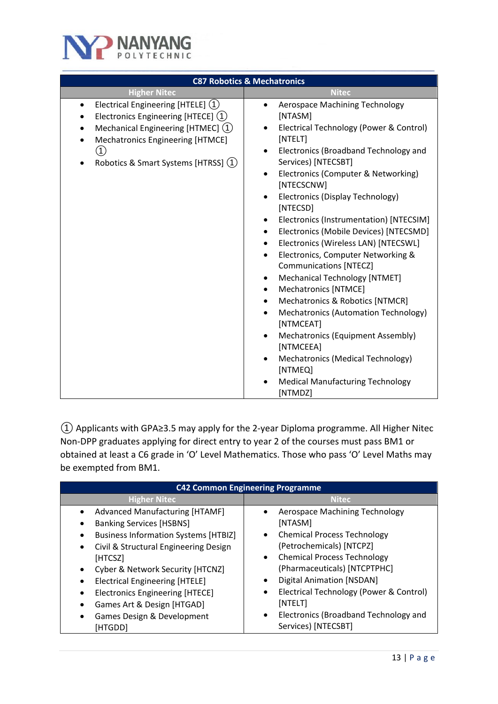

|                                                                                                                                                                                                                                                              | <b>C87 Robotics &amp; Mechatronics</b>                                                                                                                                                                                                                                                                                                                                                                                                                                                                                                                                                                                                                                                                                                                                                                                                                                                                                              |
|--------------------------------------------------------------------------------------------------------------------------------------------------------------------------------------------------------------------------------------------------------------|-------------------------------------------------------------------------------------------------------------------------------------------------------------------------------------------------------------------------------------------------------------------------------------------------------------------------------------------------------------------------------------------------------------------------------------------------------------------------------------------------------------------------------------------------------------------------------------------------------------------------------------------------------------------------------------------------------------------------------------------------------------------------------------------------------------------------------------------------------------------------------------------------------------------------------------|
| <b>Higher Nitec</b>                                                                                                                                                                                                                                          | <b>Nitec</b>                                                                                                                                                                                                                                                                                                                                                                                                                                                                                                                                                                                                                                                                                                                                                                                                                                                                                                                        |
| Electrical Engineering [HTELE] (1)<br>$\bullet$<br>Electronics Engineering [HTECE] (1)<br>٠<br>Mechanical Engineering [HTMEC] (1)<br>$\bullet$<br>Mechatronics Engineering [HTMCE]<br>$\bullet$<br>$\left( 1\right)$<br>Robotics & Smart Systems [HTRSS] (1) | <b>Aerospace Machining Technology</b><br>$\bullet$<br>[NTASM]<br>Electrical Technology (Power & Control)<br>[NTELT]<br>Electronics (Broadband Technology and<br>Services) [NTECSBT]<br>Electronics (Computer & Networking)<br>$\bullet$<br>[NTECSCNW]<br>Electronics (Display Technology)<br>٠<br>[NTECSD]<br>Electronics (Instrumentation) [NTECSIM]<br>٠<br>Electronics (Mobile Devices) [NTECSMD]<br>$\bullet$<br>Electronics (Wireless LAN) [NTECSWL]<br>$\bullet$<br>Electronics, Computer Networking &<br>$\bullet$<br><b>Communications [NTECZ]</b><br>Mechanical Technology [NTMET]<br>٠<br><b>Mechatronics [NTMCE]</b><br>$\bullet$<br>Mechatronics & Robotics [NTMCR]<br>Mechatronics (Automation Technology)<br>$\bullet$<br>[NTMCEAT]<br>Mechatronics (Equipment Assembly)<br>$\bullet$<br>[NTMCEEA]<br>Mechatronics (Medical Technology)<br>$\bullet$<br>[NTMEQ]<br><b>Medical Manufacturing Technology</b><br>[NTMDZ] |

① Applicants with GPA≥3.5 may apply for the 2-year Diploma programme. All Higher Nitec Non-DPP graduates applying for direct entry to year 2 of the courses must pass BM1 or obtained at least a C6 grade in 'O' Level Mathematics. Those who pass 'O' Level Maths may be exempted from BM1.

| <b>C42 Common Engineering Programme</b>       |                                                      |
|-----------------------------------------------|------------------------------------------------------|
| <b>Higher Nitec</b>                           | <b>Nitec</b>                                         |
| <b>Advanced Manufacturing [HTAMF]</b>         | Aerospace Machining Technology                       |
| <b>Banking Services [HSBNS]</b>               | [NTASM]                                              |
| <b>Business Information Systems [HTBIZ]</b>   | <b>Chemical Process Technology</b><br>$\bullet$      |
| Civil & Structural Engineering Design         | (Petrochemicals) [NTCPZ]                             |
| [HTCSZ]                                       | <b>Chemical Process Technology</b><br>$\bullet$      |
| Cyber & Network Security [HTCNZ]<br>$\bullet$ | (Pharmaceuticals) [NTCPTPHC]                         |
| <b>Electrical Engineering [HTELE]</b>         | <b>Digital Animation [NSDAN]</b>                     |
| <b>Electronics Engineering [HTECE]</b>        | Electrical Technology (Power & Control)<br>$\bullet$ |
| Games Art & Design [HTGAD]                    | [NTELT]                                              |
| Games Design & Development                    | Electronics (Broadband Technology and<br>$\bullet$   |
| [HTGDD]                                       | Services) [NTECSBT]                                  |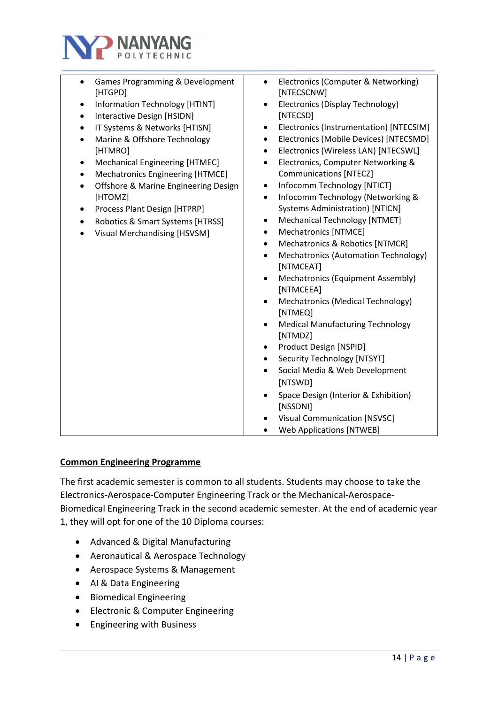

| Games Programming & Development<br>$\bullet$<br>[HTGPD]<br>Information Technology [HTINT]<br>٠<br>Interactive Design [HSIDN]<br>$\bullet$<br>IT Systems & Networks [HTISN]<br>$\bullet$<br>Marine & Offshore Technology<br>$\bullet$<br>[HTMRO]<br><b>Mechanical Engineering [HTMEC]</b><br>$\bullet$<br>Mechatronics Engineering [HTMCE]<br>$\bullet$<br>Offshore & Marine Engineering Design<br>$\bullet$<br>[HTOMZ]<br>Process Plant Design [HTPRP]<br>٠<br>Robotics & Smart Systems [HTRSS]<br>$\bullet$<br>Visual Merchandising [HSVSM] | Electronics (Computer & Networking)<br>$\bullet$<br>[NTECSCNW]<br>Electronics (Display Technology)<br>$\bullet$<br>[NTECSD]<br>Electronics (Instrumentation) [NTECSIM]<br>$\bullet$<br>Electronics (Mobile Devices) [NTECSMD]<br>$\bullet$<br>Electronics (Wireless LAN) [NTECSWL]<br>$\bullet$<br>Electronics, Computer Networking &<br>$\bullet$<br><b>Communications [NTECZ]</b><br>Infocomm Technology [NTICT]<br>$\bullet$<br>Infocomm Technology (Networking &<br>$\bullet$<br><b>Systems Administration) [NTICN]</b><br>Mechanical Technology [NTMET]<br>$\bullet$<br>Mechatronics [NTMCE]<br>$\bullet$<br>Mechatronics & Robotics [NTMCR]<br>$\bullet$<br>Mechatronics (Automation Technology)<br>$\bullet$<br>[NTMCEAT]<br>Mechatronics (Equipment Assembly)<br>$\bullet$<br>[NTMCEEA]<br>Mechatronics (Medical Technology)<br>$\bullet$<br>[NTMEQ]<br><b>Medical Manufacturing Technology</b><br>$\bullet$<br>[NTMDZ]<br>Product Design [NSPID]<br>$\bullet$<br>Security Technology [NTSYT]<br>$\bullet$<br>Social Media & Web Development<br>$\bullet$<br>[NTSWD]<br>Space Design (Interior & Exhibition)<br>$\bullet$<br>[NSSDNI]<br><b>Visual Communication [NSVSC]</b><br><b>Web Applications [NTWEB]</b><br>$\bullet$ |
|----------------------------------------------------------------------------------------------------------------------------------------------------------------------------------------------------------------------------------------------------------------------------------------------------------------------------------------------------------------------------------------------------------------------------------------------------------------------------------------------------------------------------------------------|--------------------------------------------------------------------------------------------------------------------------------------------------------------------------------------------------------------------------------------------------------------------------------------------------------------------------------------------------------------------------------------------------------------------------------------------------------------------------------------------------------------------------------------------------------------------------------------------------------------------------------------------------------------------------------------------------------------------------------------------------------------------------------------------------------------------------------------------------------------------------------------------------------------------------------------------------------------------------------------------------------------------------------------------------------------------------------------------------------------------------------------------------------------------------------------------------------------------------------------|
|                                                                                                                                                                                                                                                                                                                                                                                                                                                                                                                                              |                                                                                                                                                                                                                                                                                                                                                                                                                                                                                                                                                                                                                                                                                                                                                                                                                                                                                                                                                                                                                                                                                                                                                                                                                                      |

#### **Common Engineering Programme**

The first academic semester is common to all students. Students may choose to take the Electronics-Aerospace-Computer Engineering Track or the Mechanical-Aerospace-Biomedical Engineering Track in the second academic semester. At the end of academic year 1, they will opt for one of the 10 Diploma courses:

- Advanced & Digital Manufacturing
- Aeronautical & Aerospace Technology
- Aerospace Systems & Management
- AI & Data Engineering
- Biomedical Engineering
- Electronic & Computer Engineering
- Engineering with Business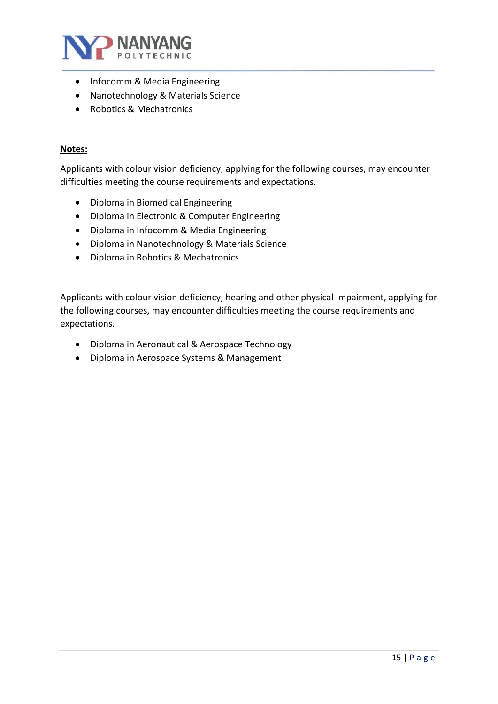

- Infocomm & Media Engineering
- Nanotechnology & Materials Science
- Robotics & Mechatronics

#### **Notes:**

Applicants with colour vision deficiency, applying for the following courses, may encounter difficulties meeting the course requirements and expectations.

- Diploma in Biomedical Engineering
- Diploma in Electronic & Computer Engineering
- Diploma in Infocomm & Media Engineering
- Diploma in Nanotechnology & Materials Science
- Diploma in Robotics & Mechatronics

Applicants with colour vision deficiency, hearing and other physical impairment, applying for the following courses, may encounter difficulties meeting the course requirements and expectations.

- Diploma in Aeronautical & Aerospace Technology
- Diploma in Aerospace Systems & Management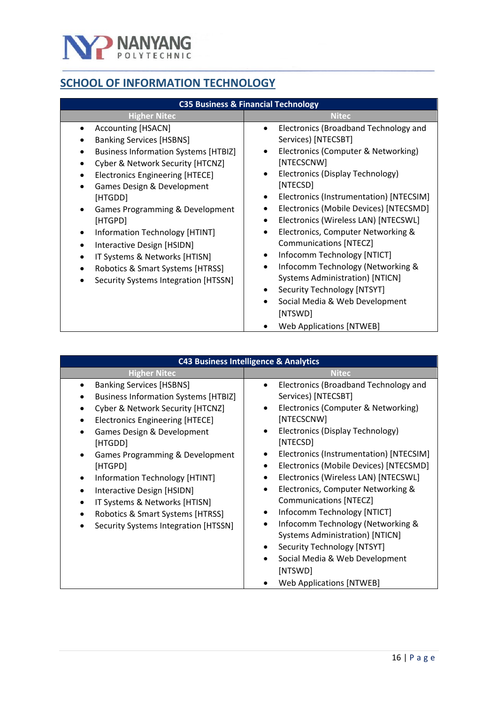

# <span id="page-15-0"></span>**SCHOOL OF INFORMATION TECHNOLOGY**

| <b>Higher Nitec</b>                                                                                                                                                                                                                                                                                                                                                                                                                                                                                                                                                                  | <b>Nitec</b>                                                                                                                                                                                                                                                                                                                                                                                                                                                                                                                                                                                       |
|--------------------------------------------------------------------------------------------------------------------------------------------------------------------------------------------------------------------------------------------------------------------------------------------------------------------------------------------------------------------------------------------------------------------------------------------------------------------------------------------------------------------------------------------------------------------------------------|----------------------------------------------------------------------------------------------------------------------------------------------------------------------------------------------------------------------------------------------------------------------------------------------------------------------------------------------------------------------------------------------------------------------------------------------------------------------------------------------------------------------------------------------------------------------------------------------------|
| <b>Accounting [HSACN]</b><br>٠<br>$\bullet$<br><b>Banking Services [HSBNS]</b><br><b>Business Information Systems [HTBIZ]</b><br>$\bullet$<br>Cyber & Network Security [HTCNZ]<br><b>Electronics Engineering [HTECE]</b><br>$\bullet$<br>Games Design & Development<br>[HTGDD]<br>$\bullet$<br>Games Programming & Development<br>[HTGPD]<br>$\bullet$<br>Information Technology [HTINT]<br>Interactive Design [HSIDN]<br>$\bullet$<br>٠<br>IT Systems & Networks [HTISN]<br>٠<br>Robotics & Smart Systems [HTRSS]<br>Security Systems Integration [HTSSN]<br>$\bullet$<br>$\bullet$ | Electronics (Broadband Technology and<br>Services) [NTECSBT]<br>Electronics (Computer & Networking)<br>[NTECSCNW]<br>Electronics (Display Technology)<br>[NTECSD]<br>Electronics (Instrumentation) [NTECSIM]<br>Electronics (Mobile Devices) [NTECSMD]<br>Electronics (Wireless LAN) [NTECSWL]<br>Electronics, Computer Networking &<br><b>Communications [NTECZ]</b><br>Infocomm Technology [NTICT]<br>Infocomm Technology (Networking &<br><b>Systems Administration) [NTICN]</b><br>Security Technology [NTSYT]<br>Social Media & Web Development<br>[NTSWD]<br><b>Web Applications [NTWEB]</b> |

| <b>C43 Business Intelligence &amp; Analytics</b>                                                                                                                                                                                                                                                                                                                                                                                 |                                                                                                                                                                                                                                                                                                                                                                                                                                                                                                                                                                                                                                                |  |
|----------------------------------------------------------------------------------------------------------------------------------------------------------------------------------------------------------------------------------------------------------------------------------------------------------------------------------------------------------------------------------------------------------------------------------|------------------------------------------------------------------------------------------------------------------------------------------------------------------------------------------------------------------------------------------------------------------------------------------------------------------------------------------------------------------------------------------------------------------------------------------------------------------------------------------------------------------------------------------------------------------------------------------------------------------------------------------------|--|
| <b>Higher Nitec</b>                                                                                                                                                                                                                                                                                                                                                                                                              | <b>Nitec</b>                                                                                                                                                                                                                                                                                                                                                                                                                                                                                                                                                                                                                                   |  |
| <b>Banking Services [HSBNS]</b><br><b>Business Information Systems [HTBIZ]</b><br>Cyber & Network Security [HTCNZ]<br><b>Electronics Engineering [HTECE]</b><br>Games Design & Development<br>[HTGDD]<br>Games Programming & Development<br>[HTGPD]<br>Information Technology [HTINT]<br>Interactive Design [HSIDN]<br>IT Systems & Networks [HTISN]<br>Robotics & Smart Systems [HTRSS]<br>Security Systems Integration [HTSSN] | Electronics (Broadband Technology and<br>Services) [NTECSBT]<br>Electronics (Computer & Networking)<br>[NTECSCNW]<br>Electronics (Display Technology)<br>$\bullet$<br>[NTECSD]<br>Electronics (Instrumentation) [NTECSIM]<br>Electronics (Mobile Devices) [NTECSMD]<br>Electronics (Wireless LAN) [NTECSWL]<br>Electronics, Computer Networking &<br>$\bullet$<br><b>Communications [NTECZ]</b><br>Infocomm Technology [NTICT]<br>Infocomm Technology (Networking &<br><b>Systems Administration) [NTICN]</b><br>Security Technology [NTSYT]<br>٠<br>Social Media & Web Development<br>$\bullet$<br>[NTSWD]<br><b>Web Applications [NTWEB]</b> |  |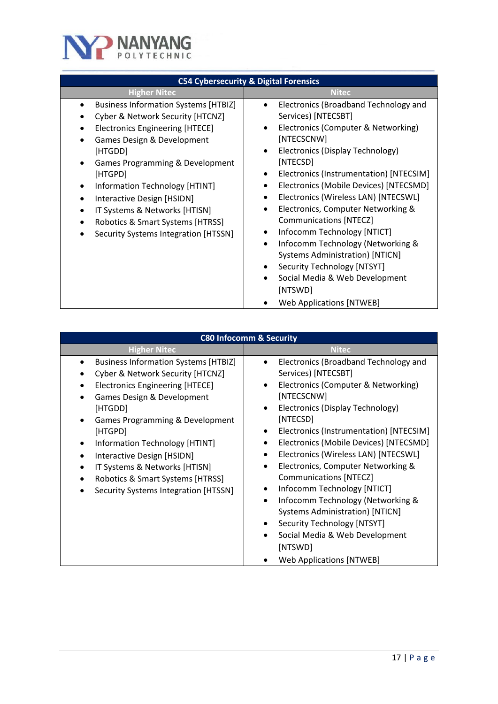

| <b>C54 Cybersecurity &amp; Digital Forensics</b>                                                                                                                                                                                                                                                                                                                                                                                                                                                      |                                                                                                                                                                                                                                                                                                                                                                                                                                                                                                                                                                                                                                                                                               |  |
|-------------------------------------------------------------------------------------------------------------------------------------------------------------------------------------------------------------------------------------------------------------------------------------------------------------------------------------------------------------------------------------------------------------------------------------------------------------------------------------------------------|-----------------------------------------------------------------------------------------------------------------------------------------------------------------------------------------------------------------------------------------------------------------------------------------------------------------------------------------------------------------------------------------------------------------------------------------------------------------------------------------------------------------------------------------------------------------------------------------------------------------------------------------------------------------------------------------------|--|
| <b>Higher Nitec</b>                                                                                                                                                                                                                                                                                                                                                                                                                                                                                   | <b>Nitec</b>                                                                                                                                                                                                                                                                                                                                                                                                                                                                                                                                                                                                                                                                                  |  |
| <b>Business Information Systems [HTBIZ]</b><br>$\bullet$<br>Cyber & Network Security [HTCNZ]<br><b>Electronics Engineering [HTECE]</b><br>$\bullet$<br>Games Design & Development<br>$\bullet$<br>[HTGDD]<br>Games Programming & Development<br>[HTGPD]<br>Information Technology [HTINT]<br>$\bullet$<br>Interactive Design [HSIDN]<br>$\bullet$<br>IT Systems & Networks [HTISN]<br>$\bullet$<br>Robotics & Smart Systems [HTRSS]<br>$\bullet$<br>Security Systems Integration [HTSSN]<br>$\bullet$ | Electronics (Broadband Technology and<br>Services) [NTECSBT]<br>Electronics (Computer & Networking)<br>$\bullet$<br>[NTECSCNW]<br>Electronics (Display Technology)<br>$\bullet$<br>[NTECSD]<br>Electronics (Instrumentation) [NTECSIM]<br>Electronics (Mobile Devices) [NTECSMD]<br>$\bullet$<br>Electronics (Wireless LAN) [NTECSWL]<br>$\bullet$<br>Electronics, Computer Networking &<br><b>Communications [NTECZ]</b><br>Infocomm Technology [NTICT]<br>Infocomm Technology (Networking &<br>$\bullet$<br><b>Systems Administration) [NTICN]</b><br>Security Technology [NTSYT]<br>$\bullet$<br>Social Media & Web Development<br>$\bullet$<br>[NTSWD]<br><b>Web Applications [NTWEB]</b> |  |

| <b>C80 Infocomm &amp; Security</b>                                                                                                                                                                                                                                                                                                                                                                                                                |                                                                                                                                                                                                                                                                                                                                                                                                                                                                                                                                                                                                                                                                                                                         |
|---------------------------------------------------------------------------------------------------------------------------------------------------------------------------------------------------------------------------------------------------------------------------------------------------------------------------------------------------------------------------------------------------------------------------------------------------|-------------------------------------------------------------------------------------------------------------------------------------------------------------------------------------------------------------------------------------------------------------------------------------------------------------------------------------------------------------------------------------------------------------------------------------------------------------------------------------------------------------------------------------------------------------------------------------------------------------------------------------------------------------------------------------------------------------------------|
| <b>Higher Nitec</b>                                                                                                                                                                                                                                                                                                                                                                                                                               | <b>Nitec</b>                                                                                                                                                                                                                                                                                                                                                                                                                                                                                                                                                                                                                                                                                                            |
| <b>Business Information Systems [HTBIZ]</b><br>$\bullet$<br>Cyber & Network Security [HTCNZ]<br><b>Electronics Engineering [HTECE]</b><br>Games Design & Development<br>[HTGDD]<br>Games Programming & Development<br>$\bullet$<br>[HTGPD]<br>Information Technology [HTINT]<br>Interactive Design [HSIDN]<br>$\bullet$<br>IT Systems & Networks [HTISN]<br>Robotics & Smart Systems [HTRSS]<br>$\bullet$<br>Security Systems Integration [HTSSN] | Electronics (Broadband Technology and<br>$\bullet$<br>Services) [NTECSBT]<br>Electronics (Computer & Networking)<br>[NTECSCNW]<br>Electronics (Display Technology)<br>$\bullet$<br>[NTECSD]<br>Electronics (Instrumentation) [NTECSIM]<br>$\bullet$<br>Electronics (Mobile Devices) [NTECSMD]<br>Electronics (Wireless LAN) [NTECSWL]<br>$\bullet$<br>Electronics, Computer Networking &<br>$\bullet$<br><b>Communications [NTECZ]</b><br>Infocomm Technology [NTICT]<br>$\bullet$<br>Infocomm Technology (Networking &<br>$\bullet$<br><b>Systems Administration) [NTICN]</b><br>Security Technology [NTSYT]<br>$\bullet$<br>Social Media & Web Development<br>$\bullet$<br>[NTSWD]<br><b>Web Applications [NTWEB]</b> |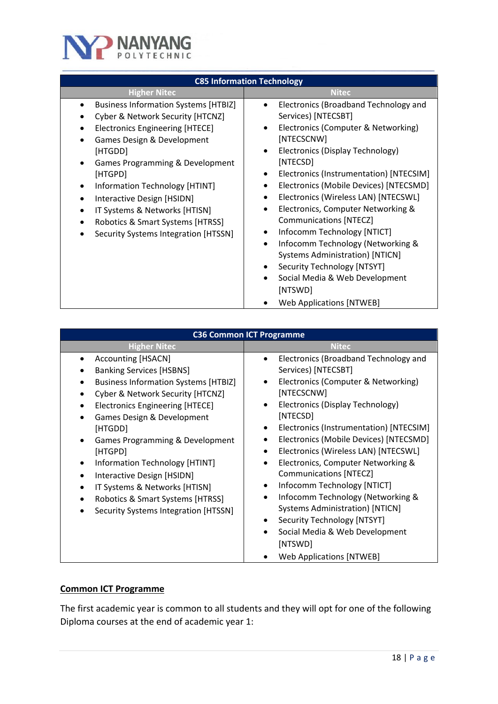

| <b>C85 Information Technology</b>                                                                                                                                                                                                                                                                                                                                                                                                                 |                                                                                                                                                                                                                                                                                                                                                                                                                                                                                                                                                                                                                                                                                         |  |
|---------------------------------------------------------------------------------------------------------------------------------------------------------------------------------------------------------------------------------------------------------------------------------------------------------------------------------------------------------------------------------------------------------------------------------------------------|-----------------------------------------------------------------------------------------------------------------------------------------------------------------------------------------------------------------------------------------------------------------------------------------------------------------------------------------------------------------------------------------------------------------------------------------------------------------------------------------------------------------------------------------------------------------------------------------------------------------------------------------------------------------------------------------|--|
| <b>Higher Nitec</b>                                                                                                                                                                                                                                                                                                                                                                                                                               | <b>Nitec</b>                                                                                                                                                                                                                                                                                                                                                                                                                                                                                                                                                                                                                                                                            |  |
| <b>Business Information Systems [HTBIZ]</b><br>Cyber & Network Security [HTCNZ]<br><b>Electronics Engineering [HTECE]</b><br>Games Design & Development<br>[HTGDD]<br>Games Programming & Development<br>[HTGPD]<br>Information Technology [HTINT]<br>$\bullet$<br>Interactive Design [HSIDN]<br>$\bullet$<br>IT Systems & Networks [HTISN]<br>$\bullet$<br>Robotics & Smart Systems [HTRSS]<br>$\bullet$<br>Security Systems Integration [HTSSN] | Electronics (Broadband Technology and<br>$\bullet$<br>Services) [NTECSBT]<br>Electronics (Computer & Networking)<br>٠<br>[NTECSCNW]<br>Electronics (Display Technology)<br>$\bullet$<br>[NTECSD]<br>Electronics (Instrumentation) [NTECSIM]<br>Electronics (Mobile Devices) [NTECSMD]<br>٠<br>Electronics (Wireless LAN) [NTECSWL]<br>٠<br>Electronics, Computer Networking &<br>$\bullet$<br><b>Communications [NTECZ]</b><br>Infocomm Technology [NTICT]<br>Infocomm Technology (Networking &<br>$\bullet$<br><b>Systems Administration) [NTICN]</b><br>Security Technology [NTSYT]<br>٠<br>Social Media & Web Development<br>$\bullet$<br>[NTSWD]<br><b>Web Applications [NTWEB]</b> |  |

| <b>C36 Common ICT Programme</b>                                                                                                                                                                                                                                                                                                                                                                                                                                                                                              |                                                                                                                                                                                                                                                                                                                                                                                                                                                                                                                                                                                                                                                                                  |  |
|------------------------------------------------------------------------------------------------------------------------------------------------------------------------------------------------------------------------------------------------------------------------------------------------------------------------------------------------------------------------------------------------------------------------------------------------------------------------------------------------------------------------------|----------------------------------------------------------------------------------------------------------------------------------------------------------------------------------------------------------------------------------------------------------------------------------------------------------------------------------------------------------------------------------------------------------------------------------------------------------------------------------------------------------------------------------------------------------------------------------------------------------------------------------------------------------------------------------|--|
| <b>Higher Nitec</b>                                                                                                                                                                                                                                                                                                                                                                                                                                                                                                          | <b>Nitec</b>                                                                                                                                                                                                                                                                                                                                                                                                                                                                                                                                                                                                                                                                     |  |
| Accounting [HSACN]<br><b>Banking Services [HSBNS]</b><br><b>Business Information Systems [HTBIZ]</b><br>Cyber & Network Security [HTCNZ]<br>$\bullet$<br><b>Electronics Engineering [HTECE]</b><br>٠<br>Games Design & Development<br>$\bullet$<br>[HTGDD]<br>Games Programming & Development<br>$\bullet$<br>[HTGPD]<br>Information Technology [HTINT]<br>Interactive Design [HSIDN]<br>$\bullet$<br>IT Systems & Networks [HTISN]<br>$\bullet$<br>Robotics & Smart Systems [HTRSS]<br>Security Systems Integration [HTSSN] | Electronics (Broadband Technology and<br>$\bullet$<br>Services) [NTECSBT]<br>Electronics (Computer & Networking)<br>[NTECSCNW]<br>Electronics (Display Technology)<br>$\bullet$<br>[NTECSD]<br>Electronics (Instrumentation) [NTECSIM]<br>$\bullet$<br>Electronics (Mobile Devices) [NTECSMD]<br>Electronics (Wireless LAN) [NTECSWL]<br>Electronics, Computer Networking &<br>$\bullet$<br><b>Communications [NTECZ]</b><br>Infocomm Technology [NTICT]<br>Infocomm Technology (Networking &<br>$\bullet$<br><b>Systems Administration) [NTICN]</b><br>Security Technology [NTSYT]<br>Social Media & Web Development<br>$\bullet$<br>[NTSWD]<br><b>Web Applications [NTWEB]</b> |  |

## **Common ICT Programme**

The first academic year is common to all students and they will opt for one of the following Diploma courses at the end of academic year 1: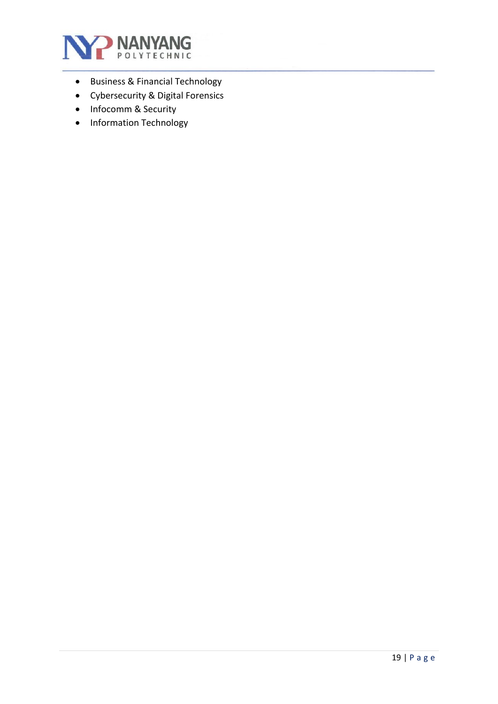

- Business & Financial Technology
- Cybersecurity & Digital Forensics
- Infocomm & Security
- Information Technology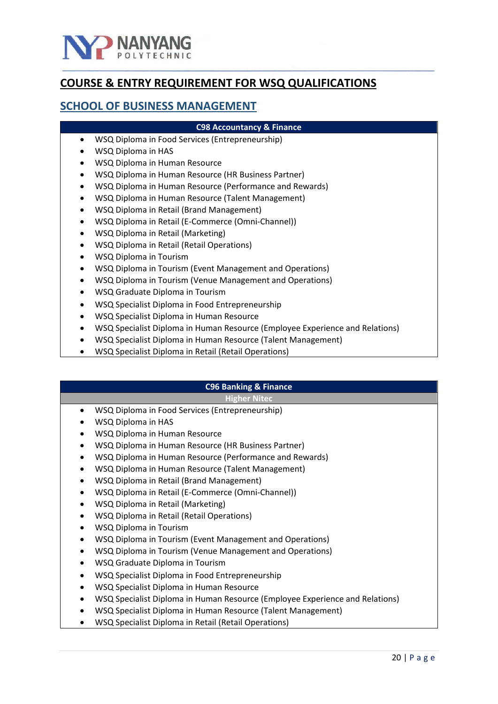

# <span id="page-19-0"></span>**COURSE & ENTRY REQUIREMENT FOR WSQ QUALIFICATIONS**

## **SCHOOL OF BUSINESS MANAGEMENT**

#### **C98 Accountancy & Finance**

- WSQ Diploma in Food Services (Entrepreneurship)
- WSQ Diploma in HAS
- WSQ Diploma in Human Resource
- WSQ Diploma in Human Resource (HR Business Partner)
- WSQ Diploma in Human Resource (Performance and Rewards)
- WSQ Diploma in Human Resource (Talent Management)
- WSQ Diploma in Retail (Brand Management)
- WSQ Diploma in Retail (E-Commerce (Omni-Channel))
- WSQ Diploma in Retail (Marketing)
- WSQ Diploma in Retail (Retail Operations)
- WSQ Diploma in Tourism
- WSQ Diploma in Tourism (Event Management and Operations)
- WSQ Diploma in Tourism (Venue Management and Operations)
- WSQ Graduate Diploma in Tourism
- WSQ Specialist Diploma in Food Entrepreneurship
- WSQ Specialist Diploma in Human Resource
- WSQ Specialist Diploma in Human Resource (Employee Experience and Relations)
- WSQ Specialist Diploma in Human Resource (Talent Management)
- WSQ Specialist Diploma in Retail (Retail Operations)

#### **C96 Banking & Finance**

- WSQ Diploma in Food Services (Entrepreneurship)
- WSQ Diploma in HAS
- WSQ Diploma in Human Resource
- WSQ Diploma in Human Resource (HR Business Partner)
- WSQ Diploma in Human Resource (Performance and Rewards)
- WSQ Diploma in Human Resource (Talent Management)
- WSQ Diploma in Retail (Brand Management)
- WSQ Diploma in Retail (E-Commerce (Omni-Channel))
- WSQ Diploma in Retail (Marketing)
- WSQ Diploma in Retail (Retail Operations)
- WSQ Diploma in Tourism
- WSQ Diploma in Tourism (Event Management and Operations)
- WSQ Diploma in Tourism (Venue Management and Operations)
- WSQ Graduate Diploma in Tourism
- WSQ Specialist Diploma in Food Entrepreneurship
- WSQ Specialist Diploma in Human Resource
- WSQ Specialist Diploma in Human Resource (Employee Experience and Relations)
- WSQ Specialist Diploma in Human Resource (Talent Management)
- WSQ Specialist Diploma in Retail (Retail Operations)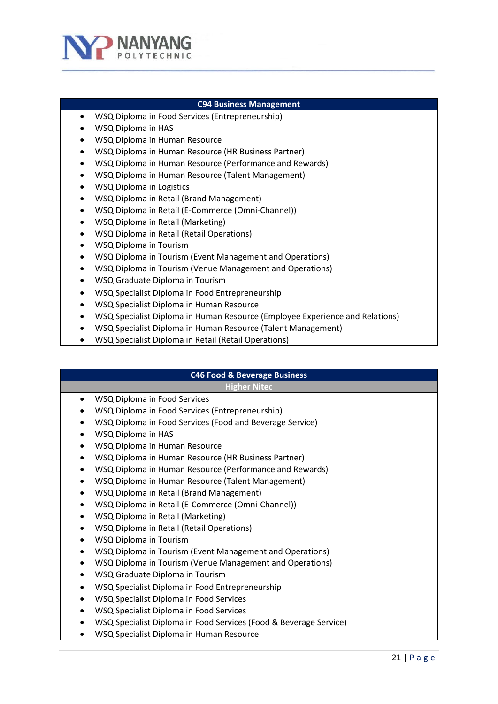

#### **C94 Business Management**

- WSQ Diploma in Food Services (Entrepreneurship)
- WSQ Diploma in HAS
- WSQ Diploma in Human Resource
- WSQ Diploma in Human Resource (HR Business Partner)
- WSQ Diploma in Human Resource (Performance and Rewards)
- WSQ Diploma in Human Resource (Talent Management)
- WSQ Diploma in Logistics
- WSQ Diploma in Retail (Brand Management)
- WSQ Diploma in Retail (E-Commerce (Omni-Channel))
- WSQ Diploma in Retail (Marketing)
- WSQ Diploma in Retail (Retail Operations)
- WSQ Diploma in Tourism
- WSQ Diploma in Tourism (Event Management and Operations)
- WSQ Diploma in Tourism (Venue Management and Operations)
- WSQ Graduate Diploma in Tourism
- WSQ Specialist Diploma in Food Entrepreneurship
- WSQ Specialist Diploma in Human Resource
- WSQ Specialist Diploma in Human Resource (Employee Experience and Relations)
- WSQ Specialist Diploma in Human Resource (Talent Management)
- WSQ Specialist Diploma in Retail (Retail Operations)

# **C46 Food & Beverage Business**

- WSQ Diploma in Food Services
- WSQ Diploma in Food Services (Entrepreneurship)
- WSQ Diploma in Food Services (Food and Beverage Service)
- WSQ Diploma in HAS
- WSQ Diploma in Human Resource
- WSQ Diploma in Human Resource (HR Business Partner)
- WSQ Diploma in Human Resource (Performance and Rewards)
- WSQ Diploma in Human Resource (Talent Management)
- WSQ Diploma in Retail (Brand Management)
- WSQ Diploma in Retail (E-Commerce (Omni-Channel))
- WSQ Diploma in Retail (Marketing)
- WSQ Diploma in Retail (Retail Operations)
- WSQ Diploma in Tourism
- WSQ Diploma in Tourism (Event Management and Operations)
- WSQ Diploma in Tourism (Venue Management and Operations)
- WSQ Graduate Diploma in Tourism
- WSQ Specialist Diploma in Food Entrepreneurship
- WSQ Specialist Diploma in Food Services
- WSQ Specialist Diploma in Food Services
- WSQ Specialist Diploma in Food Services (Food & Beverage Service)
- WSQ Specialist Diploma in Human Resource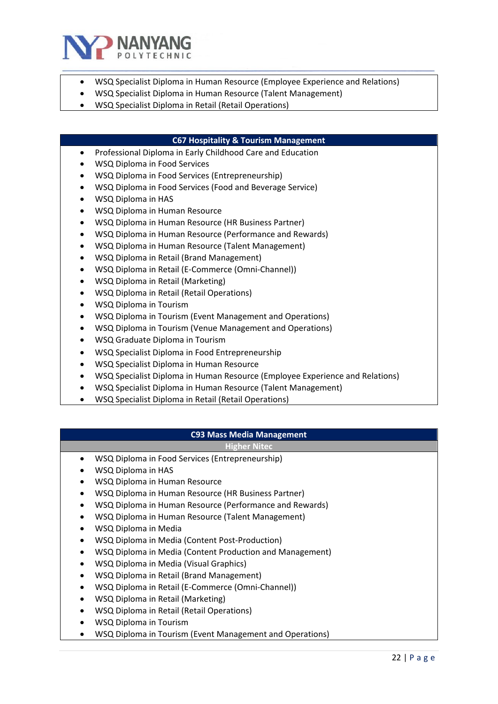

- WSQ Specialist Diploma in Human Resource (Employee Experience and Relations)
- WSQ Specialist Diploma in Human Resource (Talent Management)
- WSQ Specialist Diploma in Retail (Retail Operations)

#### **C67 Hospitality & Tourism Management**

- Professional Diploma in Early Childhood Care and Education
- WSQ Diploma in Food Services
- WSQ Diploma in Food Services (Entrepreneurship)
- WSQ Diploma in Food Services (Food and Beverage Service)
- WSQ Diploma in HAS
- WSQ Diploma in Human Resource
- WSQ Diploma in Human Resource (HR Business Partner)
- WSQ Diploma in Human Resource (Performance and Rewards)
- WSQ Diploma in Human Resource (Talent Management)
- WSQ Diploma in Retail (Brand Management)
- WSQ Diploma in Retail (E-Commerce (Omni-Channel))
- WSQ Diploma in Retail (Marketing)
- WSQ Diploma in Retail (Retail Operations)
- WSQ Diploma in Tourism
- WSQ Diploma in Tourism (Event Management and Operations)
- WSQ Diploma in Tourism (Venue Management and Operations)
- WSQ Graduate Diploma in Tourism
- WSQ Specialist Diploma in Food Entrepreneurship
- WSQ Specialist Diploma in Human Resource
- WSQ Specialist Diploma in Human Resource (Employee Experience and Relations)
- WSQ Specialist Diploma in Human Resource (Talent Management)
- WSQ Specialist Diploma in Retail (Retail Operations)

#### **C93 Mass Media Management**

- WSQ Diploma in Food Services (Entrepreneurship)
- WSQ Diploma in HAS
- WSQ Diploma in Human Resource
- WSQ Diploma in Human Resource (HR Business Partner)
- WSQ Diploma in Human Resource (Performance and Rewards)
- WSQ Diploma in Human Resource (Talent Management)
- WSQ Diploma in Media
- WSQ Diploma in Media (Content Post-Production)
- WSQ Diploma in Media (Content Production and Management)
- WSQ Diploma in Media (Visual Graphics)
- WSQ Diploma in Retail (Brand Management)
- WSQ Diploma in Retail (E-Commerce (Omni-Channel))
- WSQ Diploma in Retail (Marketing)
- WSQ Diploma in Retail (Retail Operations)
- WSQ Diploma in Tourism
- WSQ Diploma in Tourism (Event Management and Operations)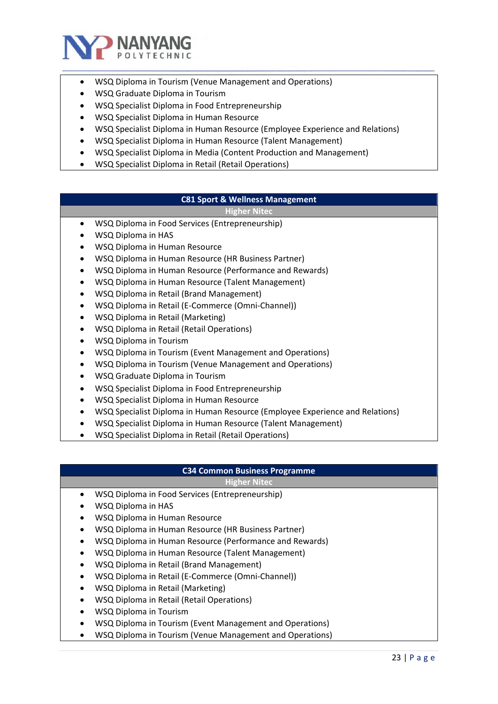

- WSQ Diploma in Tourism (Venue Management and Operations)
- WSQ Graduate Diploma in Tourism
- WSQ Specialist Diploma in Food Entrepreneurship
- WSQ Specialist Diploma in Human Resource
- WSQ Specialist Diploma in Human Resource (Employee Experience and Relations)
- WSQ Specialist Diploma in Human Resource (Talent Management)
- WSQ Specialist Diploma in Media (Content Production and Management)
- WSQ Specialist Diploma in Retail (Retail Operations)

#### **C81 Sport & Wellness Management**

#### **Higher Nitec**

- WSQ Diploma in Food Services (Entrepreneurship)
- WSQ Diploma in HAS
- WSQ Diploma in Human Resource
- WSQ Diploma in Human Resource (HR Business Partner)
- WSQ Diploma in Human Resource (Performance and Rewards)
- WSQ Diploma in Human Resource (Talent Management)
- WSQ Diploma in Retail (Brand Management)
- WSQ Diploma in Retail (E-Commerce (Omni-Channel))
- WSQ Diploma in Retail (Marketing)
- WSQ Diploma in Retail (Retail Operations)
- WSQ Diploma in Tourism
- WSQ Diploma in Tourism (Event Management and Operations)
- WSQ Diploma in Tourism (Venue Management and Operations)
- WSQ Graduate Diploma in Tourism
- WSQ Specialist Diploma in Food Entrepreneurship
- WSQ Specialist Diploma in Human Resource
- WSQ Specialist Diploma in Human Resource (Employee Experience and Relations)
- WSQ Specialist Diploma in Human Resource (Talent Management)
- WSQ Specialist Diploma in Retail (Retail Operations)

### **C34 Common Business Programme**

- WSQ Diploma in Food Services (Entrepreneurship)
- WSQ Diploma in HAS
- WSQ Diploma in Human Resource
- WSQ Diploma in Human Resource (HR Business Partner)
- WSQ Diploma in Human Resource (Performance and Rewards)
- WSQ Diploma in Human Resource (Talent Management)
- WSQ Diploma in Retail (Brand Management)
- WSQ Diploma in Retail (E-Commerce (Omni-Channel))
- WSQ Diploma in Retail (Marketing)
- WSQ Diploma in Retail (Retail Operations)
- WSQ Diploma in Tourism
- WSQ Diploma in Tourism (Event Management and Operations)
- WSQ Diploma in Tourism (Venue Management and Operations)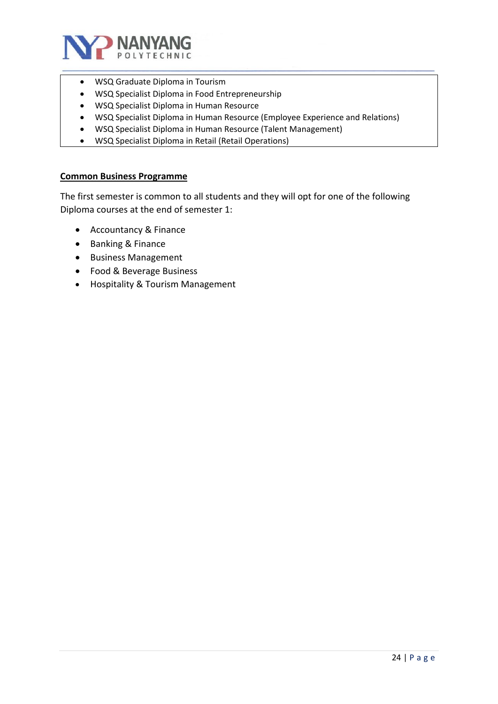

- WSQ Graduate Diploma in Tourism
- WSQ Specialist Diploma in Food Entrepreneurship
- WSQ Specialist Diploma in Human Resource
- WSQ Specialist Diploma in Human Resource (Employee Experience and Relations)
- WSQ Specialist Diploma in Human Resource (Talent Management)
- WSQ Specialist Diploma in Retail (Retail Operations)

#### **Common Business Programme**

The first semester is common to all students and they will opt for one of the following Diploma courses at the end of semester 1:

- Accountancy & Finance
- Banking & Finance
- Business Management
- Food & Beverage Business
- Hospitality & Tourism Management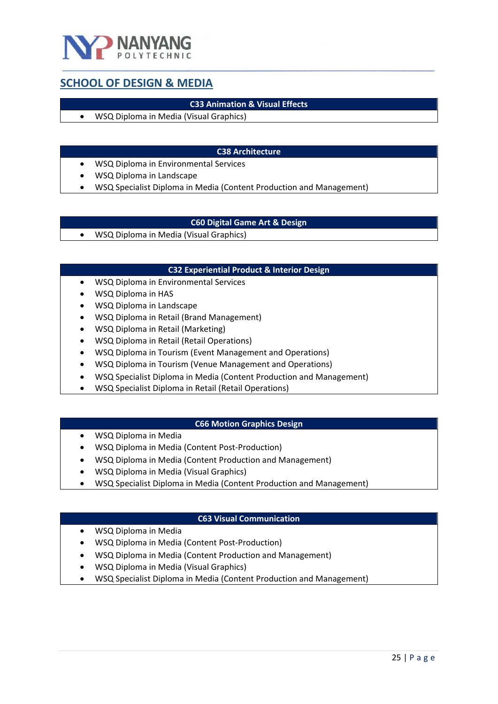

## <span id="page-24-0"></span>**SCHOOL OF DESIGN & MEDIA**

#### **C33 Animation & Visual Effects**

• WSQ Diploma in Media (Visual Graphics)

#### **C38 Architecture**

- WSQ Diploma in Environmental Services
- WSQ Diploma in Landscape
- WSQ Specialist Diploma in Media (Content Production and Management)

#### **C60 Digital Game Art & Design**

• WSQ Diploma in Media (Visual Graphics)

#### **C32 Experiential Product & Interior Design**

- WSQ Diploma in Environmental Services
- WSQ Diploma in HAS
- WSQ Diploma in Landscape
- WSQ Diploma in Retail (Brand Management)
- WSQ Diploma in Retail (Marketing)
- WSQ Diploma in Retail (Retail Operations)
- WSQ Diploma in Tourism (Event Management and Operations)
- WSQ Diploma in Tourism (Venue Management and Operations)
- WSQ Specialist Diploma in Media (Content Production and Management)
- WSQ Specialist Diploma in Retail (Retail Operations)

#### **C66 Motion Graphics Design**

- WSQ Diploma in Media
- WSQ Diploma in Media (Content Post-Production)
- WSQ Diploma in Media (Content Production and Management)
- WSQ Diploma in Media (Visual Graphics)
- WSQ Specialist Diploma in Media (Content Production and Management)

#### **C63 Visual Communication**

- WSQ Diploma in Media
- WSQ Diploma in Media (Content Post-Production)
- WSQ Diploma in Media (Content Production and Management)
- WSQ Diploma in Media (Visual Graphics)
- WSQ Specialist Diploma in Media (Content Production and Management)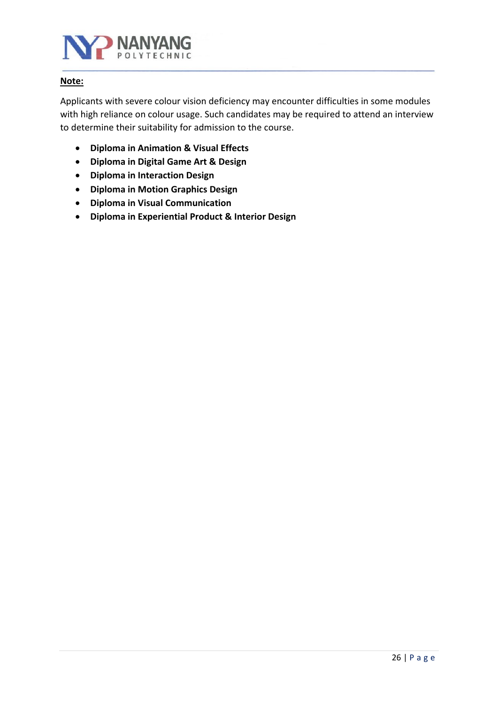

#### **Note:**

Applicants with severe colour vision deficiency may encounter difficulties in some modules with high reliance on colour usage. Such candidates may be required to attend an interview to determine their suitability for admission to the course.

- **Diploma in Animation & Visual Effects**
- **Diploma in Digital Game Art & Design**
- **Diploma in Interaction Design**
- **Diploma in Motion Graphics Design**
- **Diploma in Visual Communication**
- **Diploma in Experiential Product & Interior Design**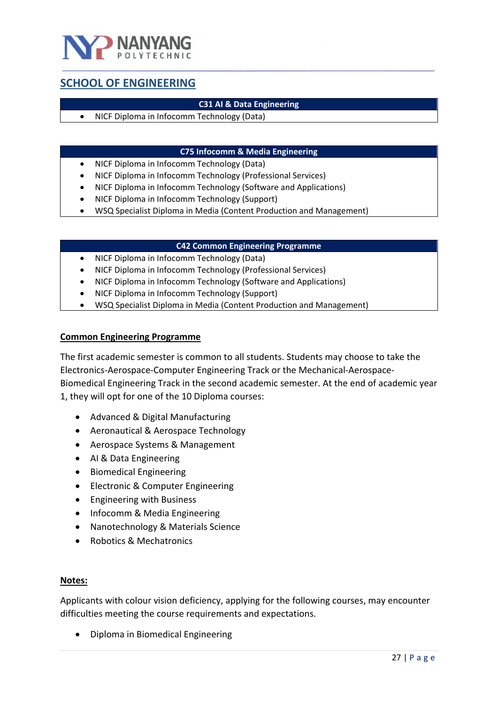

# <span id="page-26-0"></span>**SCHOOL OF ENGINEERING**

#### **C31 AI & Data Engineering**

• NICF Diploma in Infocomm Technology (Data)

#### **C75 Infocomm & Media Engineering**

- NICF Diploma in Infocomm Technology (Data)
- NICF Diploma in Infocomm Technology (Professional Services)
- NICF Diploma in Infocomm Technology (Software and Applications)
- NICF Diploma in Infocomm Technology (Support)
- WSQ Specialist Diploma in Media (Content Production and Management)

#### **C42 Common Engineering Programme**

- NICF Diploma in Infocomm Technology (Data)
- NICF Diploma in Infocomm Technology (Professional Services)
- NICF Diploma in Infocomm Technology (Software and Applications)
- NICF Diploma in Infocomm Technology (Support)
- WSQ Specialist Diploma in Media (Content Production and Management)

#### **Common Engineering Programme**

The first academic semester is common to all students. Students may choose to take the Electronics-Aerospace-Computer Engineering Track or the Mechanical-Aerospace-Biomedical Engineering Track in the second academic semester. At the end of academic year 1, they will opt for one of the 10 Diploma courses:

- Advanced & Digital Manufacturing
- Aeronautical & Aerospace Technology
- Aerospace Systems & Management
- AI & Data Engineering
- Biomedical Engineering
- Electronic & Computer Engineering
- Engineering with Business
- Infocomm & Media Engineering
- Nanotechnology & Materials Science
- Robotics & Mechatronics

#### **Notes:**

Applicants with colour vision deficiency, applying for the following courses, may encounter difficulties meeting the course requirements and expectations.

• Diploma in Biomedical Engineering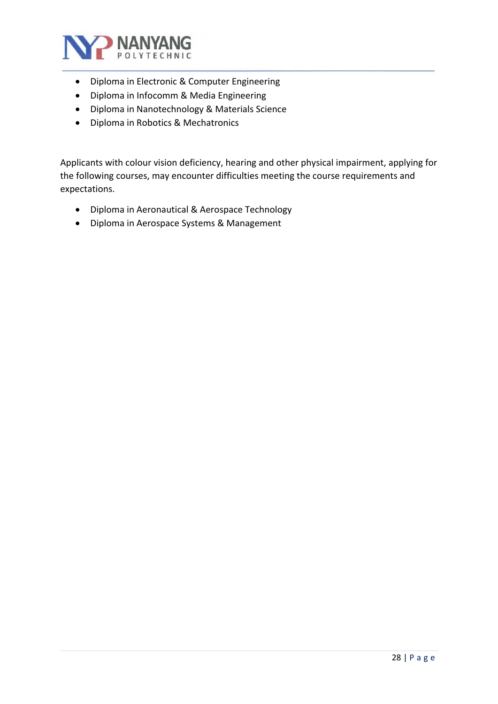

- Diploma in Electronic & Computer Engineering
- Diploma in Infocomm & Media Engineering
- Diploma in Nanotechnology & Materials Science
- Diploma in Robotics & Mechatronics

Applicants with colour vision deficiency, hearing and other physical impairment, applying for the following courses, may encounter difficulties meeting the course requirements and expectations.

- Diploma in Aeronautical & Aerospace Technology
- Diploma in Aerospace Systems & Management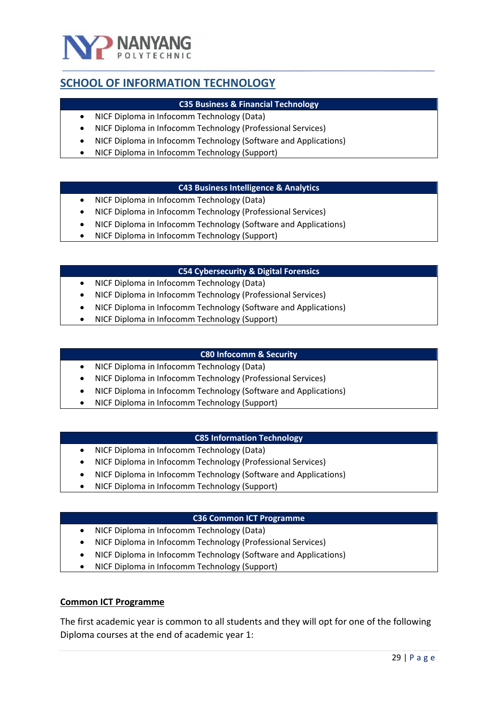

# <span id="page-28-0"></span>**SCHOOL OF INFORMATION TECHNOLOGY**

#### **C35 Business & Financial Technology**

- NICF Diploma in Infocomm Technology (Data)
- NICF Diploma in Infocomm Technology (Professional Services)
- NICF Diploma in Infocomm Technology (Software and Applications)
- NICF Diploma in Infocomm Technology (Support)

#### **C43 Business Intelligence & Analytics**

- NICF Diploma in Infocomm Technology (Data)
- NICF Diploma in Infocomm Technology (Professional Services)
- NICF Diploma in Infocomm Technology (Software and Applications)
- NICF Diploma in Infocomm Technology (Support)

#### **C54 Cybersecurity & Digital Forensics**

- NICF Diploma in Infocomm Technology (Data)
- NICF Diploma in Infocomm Technology (Professional Services)
- NICF Diploma in Infocomm Technology (Software and Applications)
- NICF Diploma in Infocomm Technology (Support)

#### **C80 Infocomm & Security**

- NICF Diploma in Infocomm Technology (Data)
- NICF Diploma in Infocomm Technology (Professional Services)
- NICF Diploma in Infocomm Technology (Software and Applications)
- NICF Diploma in Infocomm Technology (Support)

#### **C85 Information Technology**

- NICF Diploma in Infocomm Technology (Data)
- NICF Diploma in Infocomm Technology (Professional Services)
- NICF Diploma in Infocomm Technology (Software and Applications)
- NICF Diploma in Infocomm Technology (Support)

#### **C36 Common ICT Programme**

- NICF Diploma in Infocomm Technology (Data)
- NICF Diploma in Infocomm Technology (Professional Services)
- NICF Diploma in Infocomm Technology (Software and Applications)
- NICF Diploma in Infocomm Technology (Support)

#### **Common ICT Programme**

The first academic year is common to all students and they will opt for one of the following Diploma courses at the end of academic year 1: